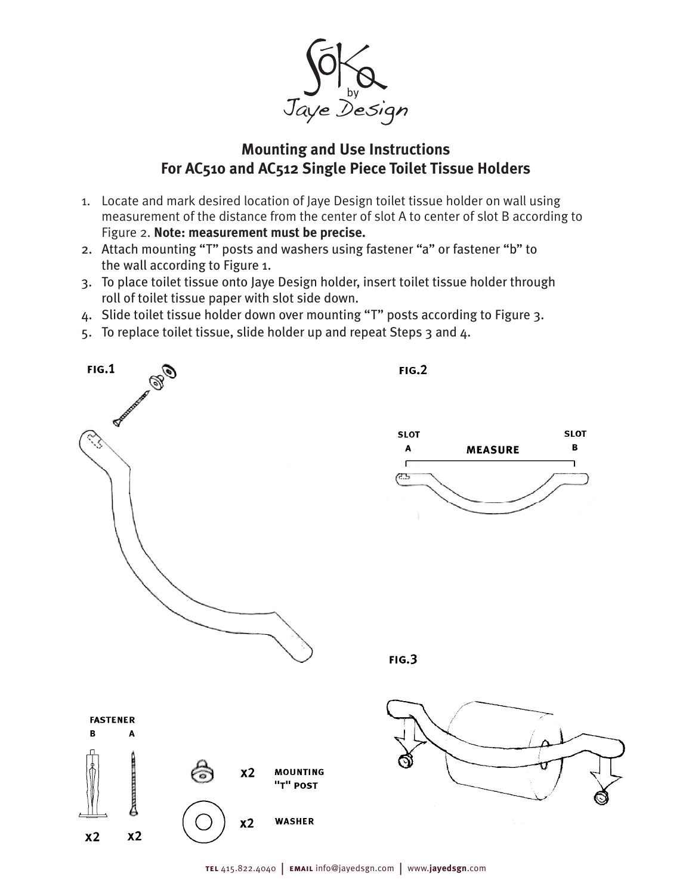

## **Mounting and Use Instructions For AC510 and AC512 Single Piece Toilet Tissue Holders**

- 1. Locate and mark desired location of Jaye Design toilet tissue holder on wall using measurement of the distance from the center of slot A to center of slot B according to Figure 2. **Note: measurement must be precise.**
- 2. Attach mounting "T" posts and washers using fastener "a" or fastener "b" to the wall according to Figure 1.
- 3. To place toilet tissue onto Jaye Design holder, insert toilet tissue holder through roll of toilet tissue paper with slot side down.
- 4. Slide toilet tissue holder down over mounting "T" posts according to Figure 3.
- 5. To replace toilet tissue, slide holder up and repeat Steps 3 and 4.